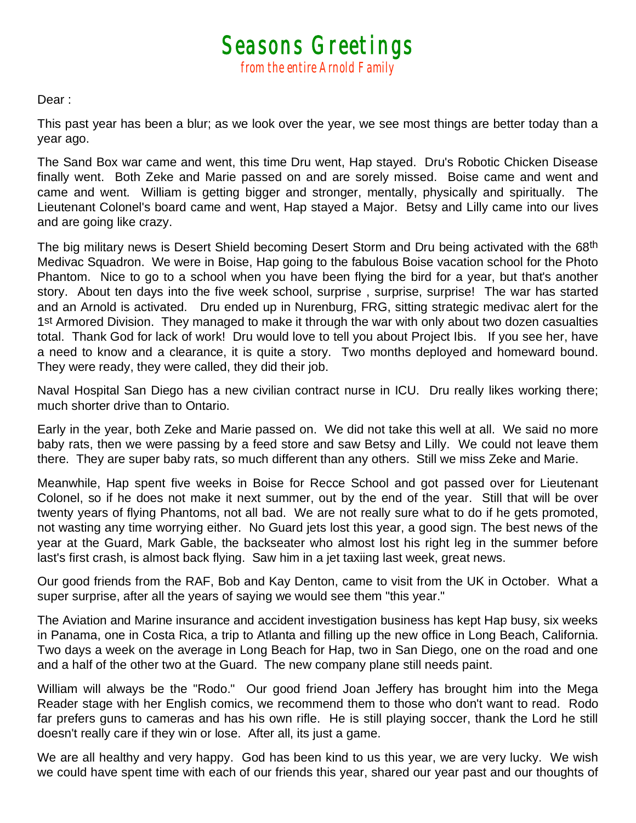*Seasons Greetings from the entire Arnold Family* 

Dear :

This past year has been a blur; as we look over the year, we see most things are better today than a year ago.

The Sand Box war came and went, this time Dru went, Hap stayed. Dru's Robotic Chicken Disease finally went. Both Zeke and Marie passed on and are sorely missed. Boise came and went and came and went. William is getting bigger and stronger, mentally, physically and spiritually. The Lieutenant Colonel's board came and went, Hap stayed a Major. Betsy and Lilly came into our lives and are going like crazy.

The big military news is Desert Shield becoming Desert Storm and Dru being activated with the 68<sup>th</sup> Medivac Squadron. We were in Boise, Hap going to the fabulous Boise vacation school for the Photo Phantom. Nice to go to a school when you have been flying the bird for a year, but that's another story. About ten days into the five week school, surprise , surprise, surprise! The war has started and an Arnold is activated. Dru ended up in Nurenburg, FRG, sitting strategic medivac alert for the 1st Armored Division. They managed to make it through the war with only about two dozen casualties total. Thank God for lack of work! Dru would love to tell you about Project Ibis. If you see her, have a need to know and a clearance, it is quite a story. Two months deployed and homeward bound. They were ready, they were called, they did their job.

Naval Hospital San Diego has a new civilian contract nurse in ICU. Dru really likes working there; much shorter drive than to Ontario.

Early in the year, both Zeke and Marie passed on. We did not take this well at all. We said no more baby rats, then we were passing by a feed store and saw Betsy and Lilly. We could not leave them there. They are super baby rats, so much different than any others. Still we miss Zeke and Marie.

Meanwhile, Hap spent five weeks in Boise for Recce School and got passed over for Lieutenant Colonel, so if he does not make it next summer, out by the end of the year. Still that will be over twenty years of flying Phantoms, not all bad. We are not really sure what to do if he gets promoted, not wasting any time worrying either. No Guard jets lost this year, a good sign. The best news of the year at the Guard, Mark Gable, the backseater who almost lost his right leg in the summer before last's first crash, is almost back flying. Saw him in a jet taxiing last week, great news.

Our good friends from the RAF, Bob and Kay Denton, came to visit from the UK in October. What a super surprise, after all the years of saying we would see them "this year."

The Aviation and Marine insurance and accident investigation business has kept Hap busy, six weeks in Panama, one in Costa Rica, a trip to Atlanta and filling up the new office in Long Beach, California. Two days a week on the average in Long Beach for Hap, two in San Diego, one on the road and one and a half of the other two at the Guard. The new company plane still needs paint.

William will always be the "Rodo." Our good friend Joan Jeffery has brought him into the Mega Reader stage with her English comics, we recommend them to those who don't want to read. Rodo far prefers guns to cameras and has his own rifle. He is still playing soccer, thank the Lord he still doesn't really care if they win or lose. After all, its just a game.

We are all healthy and very happy. God has been kind to us this year, we are very lucky. We wish we could have spent time with each of our friends this year, shared our year past and our thoughts of